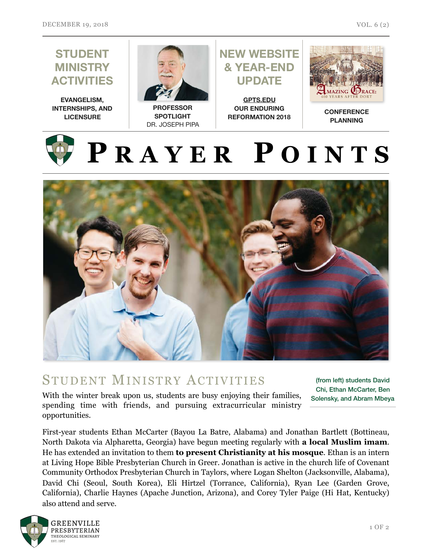

## STUDENT MINISTRY ACTIVITIES

With the winter break upon us, students are busy enjoying their families, spending time with friends, and pursuing extracurricular ministry opportunities.

(from left) students David Chi, Ethan McCarter, Ben Solensky, and Abram Mbeya

First-year students Ethan McCarter (Bayou La Batre, Alabama) and Jonathan Bartlett (Bottineau, North Dakota via Alpharetta, Georgia) have begun meeting regularly with **a local Muslim imam**. He has extended an invitation to them **to present Christianity at his mosque**. Ethan is an intern at Living Hope Bible Presbyterian Church in Greer. Jonathan is active in the church life of Covenant Community Orthodox Presbyterian Church in Taylors, where Logan Shelton (Jacksonville, Alabama), David Chi (Seoul, South Korea), Eli Hirtzel (Torrance, California), Ryan Lee (Garden Grove, California), Charlie Haynes (Apache Junction, Arizona), and Corey Tyler Paige (Hi Hat, Kentucky) also attend and serve.